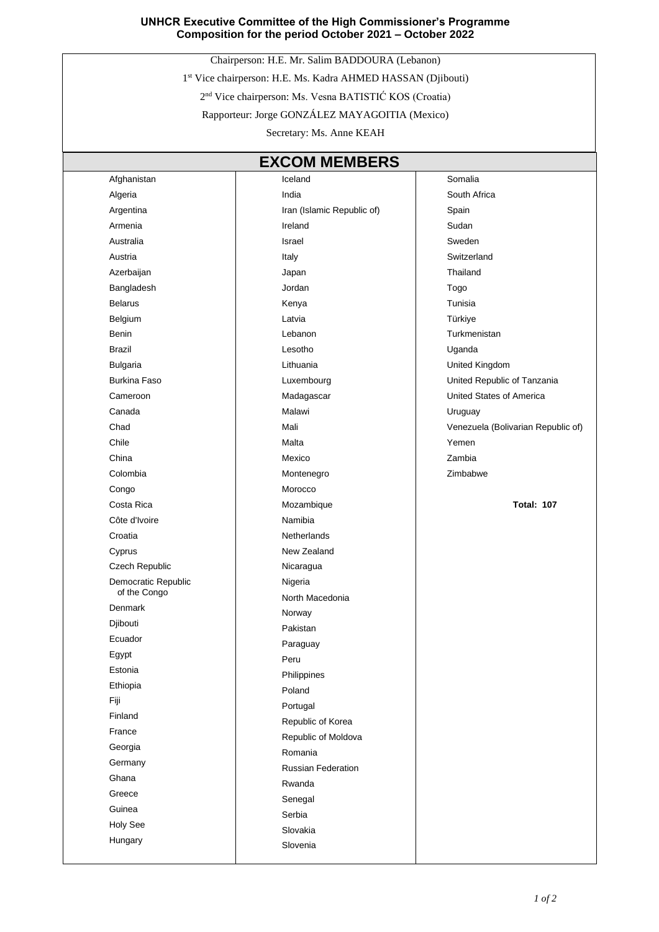## **UNHCR Executive Committee of the High Commissioner's Programme Composition for the period October 2021 – October 2022**

Chairperson: H.E. Mr. Salim BADDOURA (Lebanon)

1 st Vice chairperson: H.E. Ms. Kadra AHMED HASSAN (Djibouti)

2 nd Vice chairperson: Ms. Vesna BATISTIĆ KOS (Croatia)

Rapporteur: Jorge GONZÁLEZ MAYAGOITIA (Mexico)

Secretary: Ms. Anne KEAH

| <b>EXCOM MEMBERS</b>                |                            |                                    |  |
|-------------------------------------|----------------------------|------------------------------------|--|
| Afghanistan                         | Iceland                    | Somalia                            |  |
| Algeria                             | India                      | South Africa                       |  |
| Argentina                           | Iran (Islamic Republic of) | Spain                              |  |
| Armenia                             | Ireland                    | Sudan                              |  |
| Australia                           | Israel                     | Sweden                             |  |
| Austria                             | Italy                      | Switzerland                        |  |
| Azerbaijan                          | Japan                      | Thailand                           |  |
| Bangladesh                          | Jordan                     | Togo                               |  |
| <b>Belarus</b>                      | Kenya                      | Tunisia                            |  |
| Belgium                             | Latvia                     | Türkiye                            |  |
| Benin                               | Lebanon                    | Turkmenistan                       |  |
| <b>Brazil</b>                       | Lesotho                    | Uganda                             |  |
| <b>Bulgaria</b>                     | Lithuania                  | United Kingdom                     |  |
| <b>Burkina Faso</b>                 | Luxembourg                 | United Republic of Tanzania        |  |
| Cameroon                            | Madagascar                 | United States of America           |  |
| Canada                              | Malawi                     | Uruguay                            |  |
| Chad                                | Mali                       | Venezuela (Bolivarian Republic of) |  |
| Chile                               | Malta                      | Yemen                              |  |
| China                               | Mexico                     | Zambia                             |  |
| Colombia                            | Montenegro                 | Zimbabwe                           |  |
| Congo                               | Morocco                    |                                    |  |
| Costa Rica                          | Mozambique                 | <b>Total: 107</b>                  |  |
| Côte d'Ivoire                       | Namibia                    |                                    |  |
| Croatia                             | <b>Netherlands</b>         |                                    |  |
| Cyprus                              | New Zealand                |                                    |  |
| Czech Republic                      | Nicaragua                  |                                    |  |
| Democratic Republic<br>of the Congo | Nigeria                    |                                    |  |
| Denmark                             | North Macedonia            |                                    |  |
|                                     | Norway                     |                                    |  |
| Djibouti<br>Ecuador                 | Pakistan                   |                                    |  |
|                                     | Paraguay                   |                                    |  |
| Egypt<br>Estonia                    | Peru                       |                                    |  |
| Ethiopia                            | Philippines                |                                    |  |
| Fiji                                | Poland                     |                                    |  |
| Finland                             | Portugal                   |                                    |  |
| France                              | Republic of Korea          |                                    |  |
| Georgia                             | Republic of Moldova        |                                    |  |
| Germany                             | Romania                    |                                    |  |
| Ghana                               | Russian Federation         |                                    |  |
| Greece                              | Rwanda                     |                                    |  |
| Guinea                              | Senegal                    |                                    |  |
| <b>Holy See</b>                     | Serbia                     |                                    |  |
| Hungary                             | Slovakia                   |                                    |  |
|                                     | Slovenia                   |                                    |  |

Slovenia